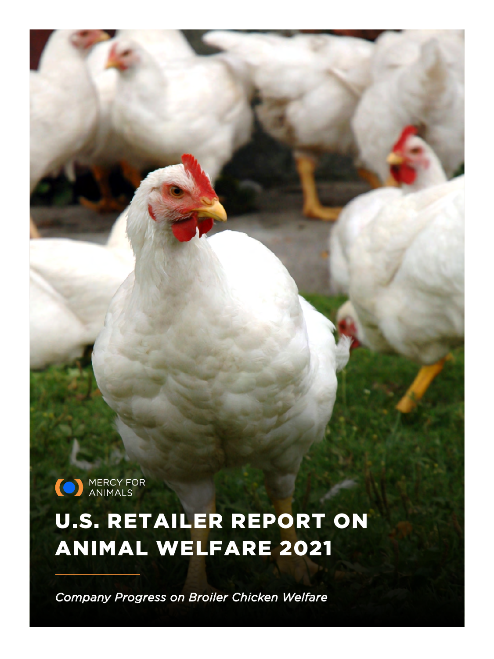(O) MERCY FOR

# U.S. RETAILER REPORT ON ANIMAL WELFARE 2021

*Company Progress on Broiler Chicken Welfare*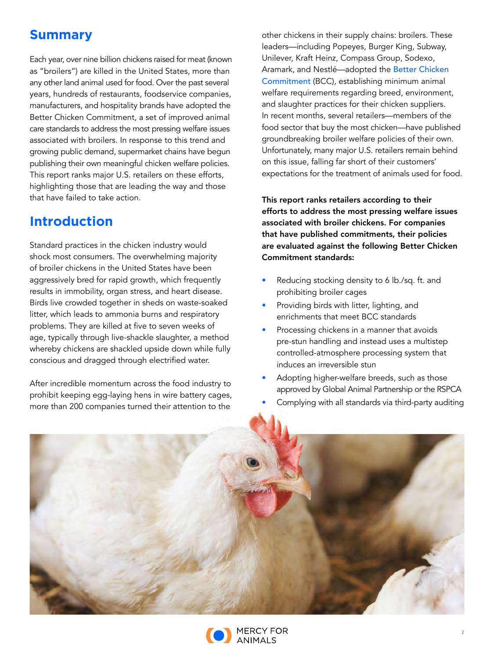## **Summary**

Each year, over nine billion chickens raised for meat (known as "broilers") are killed in the United States, more than any other land animal used for food. Over the past several years, hundreds of restaurants, foodservice companies, manufacturers, and hospitality brands have adopted the Better Chicken Commitment, a set of improved animal care standards to address the most pressing welfare issues associated with broilers. In response to this trend and growing public demand, supermarket chains have begun publishing their own meaningful chicken welfare policies. This report ranks major U.S. retailers on these efforts, highlighting those that are leading the way and those that have failed to take action.

### **Introduction**

Standard practices in the chicken industry would shock most consumers. The overwhelming majority of broiler chickens in the United States have been aggressively bred for rapid growth, which frequently results in immobility, organ stress, and heart disease. Birds live crowded together in sheds on waste-soaked litter, which leads to ammonia burns and respiratory problems. They are killed at five to seven weeks of age, typically through live-shackle slaughter, a method whereby chickens are shackled upside down while fully conscious and dragged through electrified water.

After incredible momentum across the food industry to prohibit keeping egg-laying hens in wire battery cages, more than 200 companies turned their attention to the

other chickens in their supply chains: broilers. These leaders—including Popeyes, Burger King, Subway, Unilever, Kraft Heinz, Compass Group, Sodexo, Aramark, and Nestlé—adopted the [Better Chicken](https://betterchickencommitment.com/policy)  [Commitment](https://betterchickencommitment.com/policy) (BCC), establishing minimum animal welfare requirements regarding breed, environment, and slaughter practices for their chicken suppliers. In recent months, several retailers—members of the food sector that buy the most chicken—have published groundbreaking broiler welfare policies of their own. Unfortunately, many major U.S. retailers remain behind on this issue, falling far short of their customers' expectations for the treatment of animals used for food.

This report ranks retailers according to their efforts to address the most pressing welfare issues associated with broiler chickens. For companies that have published commitments, their policies are evaluated against the following Better Chicken Commitment standards:

- Reducing stocking density to 6 lb./sq. ft. and prohibiting broiler cages
- Providing birds with litter, lighting, and enrichments that meet BCC standards
- Processing chickens in a manner that avoids pre-stun handling and instead uses a multistep controlled-atmosphere processing system that induces an irreversible stun
- Adopting higher-welfare breeds, such as those approved by Global Animal Partnership or the RSPCA
- Complying with all standards via third-party auditing



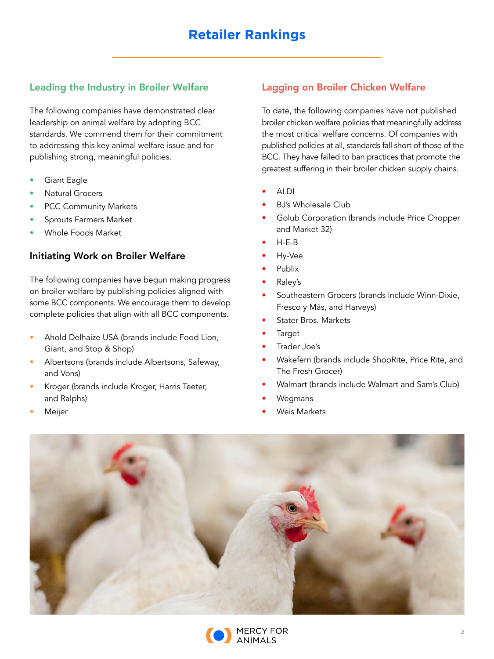#### Leading the Industry in Broiler Welfare

The following companies have demonstrated clear leadership on animal welfare by adopting BCC standards. We commend them for their commitment to addressing this key animal welfare issue and for publishing strong, meaningful policies.

- Giant Eagle
- Natural Grocers
- PCC Community Markets
- Sprouts Farmers Market
- Whole Foods Market

#### Initiating Work on Broiler Welfare

The following companies have begun making progress on broiler welfare by publishing policies aligned with some BCC components. We encourage them to develop complete policies that align with all BCC components.

- Ahold Delhaize USA (brands include Food Lion, Giant, and Stop & Shop)
- Albertsons (brands include Albertsons, Safeway, and Vons)
- Kroger (brands include Kroger, Harris Teeter, and Ralphs)
- **Meijer**

#### Lagging on Broiler Chicken Welfare

To date, the following companies have not published broiler chicken welfare policies that meaningfully address the most critical welfare concerns. Of companies with published policies at all, standards fall short of those of the BCC. They have failed to ban practices that promote the greatest suffering in their broiler chicken supply chains.

- ALDI
- BJ's Wholesale Club
- Golub Corporation (brands include Price Chopper and Market 32)
- $H-E-B$
- Hy-Vee
- Publix
- Raley's
- Southeastern Grocers (brands include Winn-Dixie, Fresco y Más, and Harveys)
- Stater Bros. Markets
- **Target**
- Trader Joe's
- Wakefern (brands include ShopRite, Price Rite, and The Fresh Grocer)
- Walmart (brands include Walmart and Sam's Club)
- Wegmans
- Weis Markets



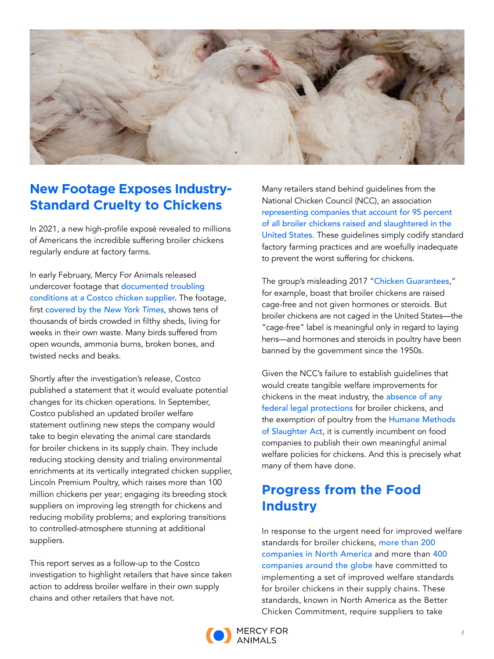

## **New Footage Exposes Industry-Standard Cruelty to Chickens**

In 2021, a new high-profile exposé revealed to millions of Americans the incredible suffering broiler chickens regularly endure at factory farms.

In early February, Mercy For Animals released undercover footage that [documented troubling](https://costcoexposed.com/)  [conditions at a Costco chicken supplier](https://costcoexposed.com/). The footage, first [covered by the](https://www.nytimes.com/2021/02/06/opinion/sunday/costco-chicken-animal-welfare.html) *[New York Times](https://www.nytimes.com/2021/02/06/opinion/sunday/costco-chicken-animal-welfare.html)*, shows tens of thousands of birds crowded in filthy sheds, living for weeks in their own waste. Many birds suffered from open wounds, ammonia burns, broken bones, and twisted necks and beaks.

Shortly after the investigation's release, Costco published a statement that it would evaluate potential changes for its chicken operations. In September, Costco published an updated broiler welfare statement outlining new steps the company would take to begin elevating the animal care standards for broiler chickens in its supply chain. They include reducing stocking density and trialing environmental enrichments at its vertically integrated chicken supplier, Lincoln Premium Poultry, which raises more than 100 million chickens per year; engaging its breeding stock suppliers on improving leg strength for chickens and reducing mobility problems; and exploring transitions to controlled-atmosphere stunning at additional suppliers.

This report serves as a follow-up to the Costco investigation to highlight retailers that have since taken action to address broiler welfare in their own supply chains and other retailers that have not.

Many retailers stand behind guidelines from the National Chicken Council (NCC), an association [representing companies that account for 95 percent](https://www.nationalchickencouncil.org/industry/history/)  [of all broiler chickens raised and slaughtered in the](https://www.nationalchickencouncil.org/industry/history/)  [United States](https://www.nationalchickencouncil.org/industry/history/). These guidelines simply codify standard factory farming practices and are woefully inadequate to prevent the worst suffering for chickens.

The group's misleading 2017 "[Chicken Guarantees](https://www.nationalchickencouncil.org/americas-largest-chicken-association-rolls-industry-wide-standards-broiler-chicken-welfare/)," for example, boast that broiler chickens are raised cage-free and not given hormones or steroids. But broiler chickens are not caged in the United States—the "cage-free" label is meaningful only in regard to laying hens—and hormones and steroids in poultry have been banned by the government since the 1950s.

Given the NCC's failure to establish guidelines that would create tangible welfare improvements for chickens in the meat industry, the absence of any [federal legal protections](https://www.animallaw.info/article/overview-legal-protections-domestic-chicken-united-states-and-europe) for broiler chickens, and the exemption of poultry from the Humane Methods [of Slaughter Act](https://www.nal.usda.gov/awic/humane-methods-slaughter-act), it is currently incumbent on food companies to publish their own meaningful animal welfare policies for chickens. And this is precisely what many of them have done.

## **Progress from the Food Industry**

In response to the urgent need for improved welfare standards for broiler chickens, [more than 200](https://welfarecommitments.com/broiler)  [companies in North America](https://welfarecommitments.com/broiler) and more than [400](https://chickenwatch.org/progress-tracker?filterK=Broiler)  [companies around the globe](https://chickenwatch.org/progress-tracker?filterK=Broiler) have committed to implementing a set of improved welfare standards for broiler chickens in their supply chains. These standards, known in North America as the Better Chicken Commitment, require suppliers to take